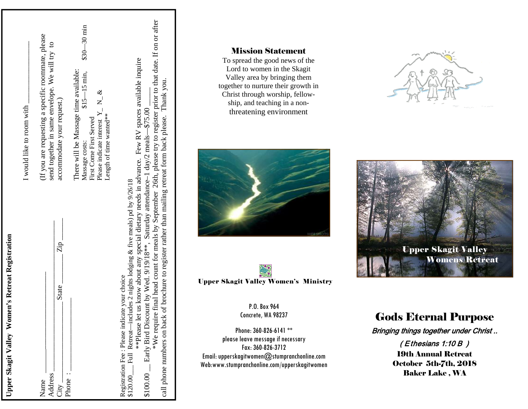| I would like to room with | (If you are requesting a specific roommate, please<br>send together in same envelope. We will try to<br>accommodate your request.) | $$30 - 30$ min<br>There will be Massage time available:<br>$$15 - 15$ min,<br>Please indicate interest $Y_$ <sub>_</sub> N <sub>_</sub> &<br>Length of time wanted**<br>First Come First Served<br>Massage costs: | *We require final head count for meals by September 26th, please try to register prior to that date. If on or after<br>**Please let us know about any special dietary needs in advance. Few RV spaces available inquire        |
|---------------------------|------------------------------------------------------------------------------------------------------------------------------------|-------------------------------------------------------------------------------------------------------------------------------------------------------------------------------------------------------------------|--------------------------------------------------------------------------------------------------------------------------------------------------------------------------------------------------------------------------------|
|                           | $\mathsf{Zip}$ .<br>State<br>Address<br>Name<br>$City -$                                                                           | $\rho_{\text{home}}$ :                                                                                                                                                                                            | \$100.00 _ Early Bird Discount by Wed. 9/19/18**, Saturday attendance-1 day/2 meals--\$75.00.<br>\$120.00 Full Retreat—includes 2 nights lodging & five meals) pd by 9/26/18<br>Registration Fee : Please indicate your choice |

**Upper Skagit Valley Women's Retreat Registration** 

Upper Skagit Valley Women's Retreat Registration

# Mission Statement

To spread the good news of the Lord to women in the Skagit Valley area by bringing them together to nurture their growth in Christ through worship, fellowship, and teaching in a nonthreatening environment





P.O. Box 964 Concrete, WA 98237

Phone: 360-826-6141 \*\* please leave message if necessary Fax: 360-826-3712 Email: upperskagitwomen@stumpranchonline.com Web:www.stumpranchonline.com/upperskagitwomen